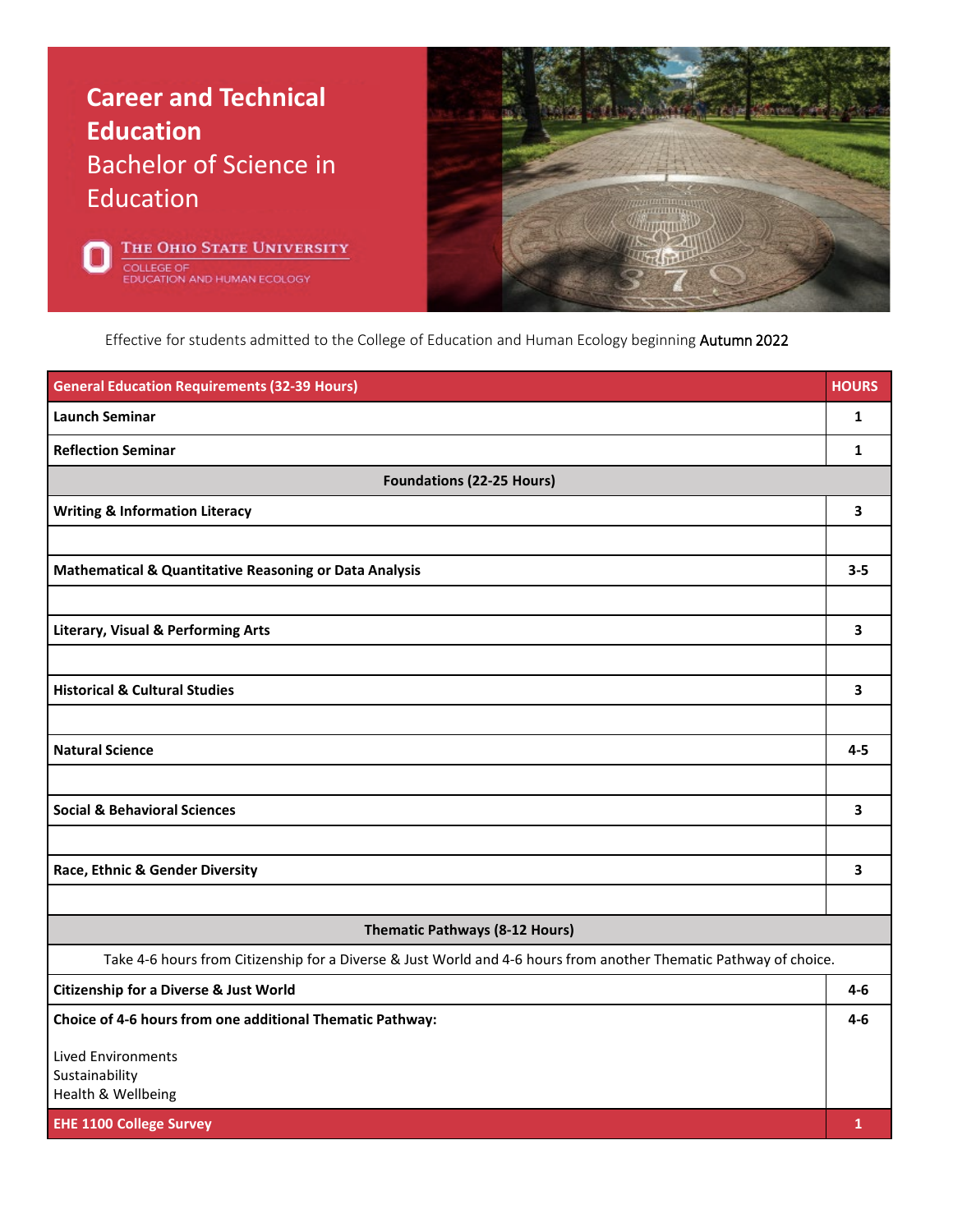





Effective for students admitted to the College of Education and Human Ecology beginning Autumn 2022

| <b>General Education Requirements (32-39 Hours)</b>                                                               | <b>HOURS</b> |  |
|-------------------------------------------------------------------------------------------------------------------|--------------|--|
| <b>Launch Seminar</b>                                                                                             | $\mathbf{1}$ |  |
| <b>Reflection Seminar</b>                                                                                         | 1            |  |
| <b>Foundations (22-25 Hours)</b>                                                                                  |              |  |
| <b>Writing &amp; Information Literacy</b>                                                                         | 3            |  |
|                                                                                                                   |              |  |
| <b>Mathematical &amp; Quantitative Reasoning or Data Analysis</b>                                                 | $3 - 5$      |  |
|                                                                                                                   |              |  |
| <b>Literary, Visual &amp; Performing Arts</b>                                                                     | 3            |  |
|                                                                                                                   |              |  |
| <b>Historical &amp; Cultural Studies</b>                                                                          | 3            |  |
|                                                                                                                   |              |  |
| <b>Natural Science</b>                                                                                            | $4 - 5$      |  |
|                                                                                                                   |              |  |
| <b>Social &amp; Behavioral Sciences</b>                                                                           | 3            |  |
|                                                                                                                   |              |  |
| Race, Ethnic & Gender Diversity                                                                                   | 3            |  |
|                                                                                                                   |              |  |
| Thematic Pathways (8-12 Hours)                                                                                    |              |  |
| Take 4-6 hours from Citizenship for a Diverse & Just World and 4-6 hours from another Thematic Pathway of choice. |              |  |
| <b>Citizenship for a Diverse &amp; Just World</b>                                                                 | 4-6          |  |
| Choice of 4-6 hours from one additional Thematic Pathway:                                                         | $4-6$        |  |
| <b>Lived Environments</b>                                                                                         |              |  |
| Sustainability<br>Health & Wellbeing                                                                              |              |  |
| <b>EHE 1100 College Survey</b>                                                                                    | $\mathbf{1}$ |  |